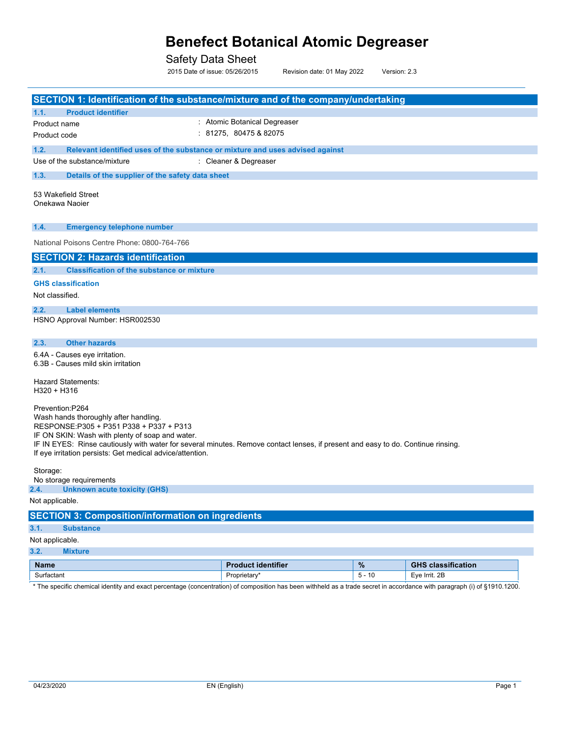Safety Data Sheet

2015 Date of issue: 05/26/2015 Revision date: 01 May 2022 Version: 2.3

**SECTION 1: Identification of the substance/mixture and of the company/undertaking 1.1. Product identifier** Product name Product code : Atomic Botanical Degreaser : 81275, 80475 & 82075 **1.2. Relevant identified uses of the substance or mixture and uses advised against** Use of the substance/mixture : Cleaner & Degreaser **1.3. Details of the supplier of the safety data sheet** 53 Wakefield Street Onekawa Naoier **1.4. Emergency telephone number SECTION 2: Hazards identification 2.1. Classification of the substance or mixture GHS classification**  Not classified. **2.2. Label elements** HSNO Approval Number: HSR002530 HSNO Classification: **2.3. Other hazards SECTION 3: Composition/information on ingredients 3.1. Substance** Not applicable. **2.4. Unknown acute toxicity (GHS)** Not applicable. National Poisons Centre Phone: 0800-764-766 6.4A - Causes eye irritation. 6.3B - Causes mild skin irritation Hazard Statements: H320 + H316 Prevention:P264 Wash hands thoroughly after handling. RESPONSE:P305 + P351 P338 + P337 + P313 IF ON SKIN: Wash with plenty of soap and water. IF IN EYES: Rinse cautiously with water for several minutes. Remove contact lenses, if present and easy to do. Continue rinsing. If eye irritation persists: Get medical advice/attention. Storage: No storage requirements

**3.2. Mixture**

| <b>Name</b> | ∶identifier  | $\mathbf{a}$<br>$\gamma_0$ | classification<br>GHS  |
|-------------|--------------|----------------------------|------------------------|
| Surfactant  | Proprietary* | 10<br>-                    | חמ<br>Eve<br>Irrit. 2L |

\* The specific chemical identity and exact percentage (concentration) of composition has been withheld as a trade secret in accordance with paragraph (i) of §1910.1200.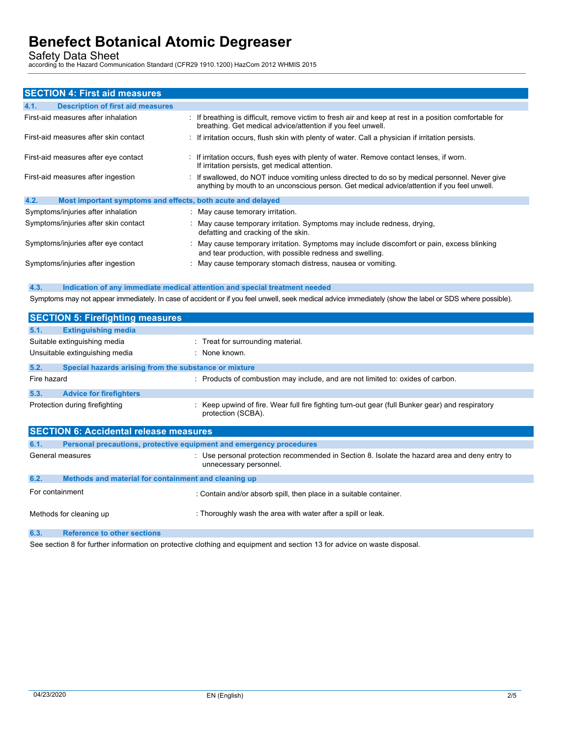Safety Data Sheet<br>according to the Hazard Communication Standard (CFR29 1910.1200) HazCom 2012 WHMIS 2015

|      | <b>SECTION 4: First aid measures</b>                        |                                                                                                                                                                                                  |
|------|-------------------------------------------------------------|--------------------------------------------------------------------------------------------------------------------------------------------------------------------------------------------------|
| 4.1. | <b>Description of first aid measures</b>                    |                                                                                                                                                                                                  |
|      | First-aid measures after inhalation                         | : If breathing is difficult, remove victim to fresh air and keep at rest in a position comfortable for<br>breathing. Get medical advice/attention if you feel unwell.                            |
|      | First-aid measures after skin contact                       | : If irritation occurs, flush skin with plenty of water. Call a physician if irritation persists.                                                                                                |
|      | First-aid measures after eye contact                        | : If irritation occurs, flush eyes with plenty of water. Remove contact lenses, if worn.<br>If irritation persists, get medical attention.                                                       |
|      | First-aid measures after ingestion                          | : If swallowed, do NOT induce vomiting unless directed to do so by medical personnel. Never give<br>anything by mouth to an unconscious person. Get medical advice/attention if you feel unwell. |
| 4.2. | Most important symptoms and effects, both acute and delayed |                                                                                                                                                                                                  |
|      | Symptoms/injuries after inhalation                          | : May cause temorary irritation.                                                                                                                                                                 |
|      | Symptoms/injuries after skin contact                        | : May cause temporary irritation. Symptoms may include redness, drying,<br>defatting and cracking of the skin.                                                                                   |
|      | Symptoms/injuries after eye contact                         | : May cause temporary irritation. Symptoms may include discomfort or pain, excess blinking<br>and tear production, with possible redness and swelling.                                           |
|      | Symptoms/injuries after ingestion                           | : May cause temporary stomach distress, nausea or vomiting.                                                                                                                                      |

**4.3. Indication of any immediate medical attention and special treatment needed**

Symptoms may not appear immediately. In case of accident or if you feel unwell, seek medical advice immediately (show the label or SDS where possible).

| <b>SECTION 5: Firefighting measures</b> |                                                                                                                       |  |  |  |
|-----------------------------------------|-----------------------------------------------------------------------------------------------------------------------|--|--|--|
| 5.1.<br><b>Extinguishing media</b>      |                                                                                                                       |  |  |  |
| Suitable extinguishing media            | : Treat for surrounding material.                                                                                     |  |  |  |
| Unsuitable extinguishing media          | : None known.                                                                                                         |  |  |  |
| 5.2.                                    | Special hazards arising from the substance or mixture                                                                 |  |  |  |
| Fire hazard                             | : Products of combustion may include, and are not limited to: oxides of carbon.                                       |  |  |  |
| 5.3.<br><b>Advice for firefighters</b>  |                                                                                                                       |  |  |  |
| Protection during firefighting          | : Keep upwind of fire. Wear full fire fighting turn-out gear (full Bunker gear) and respiratory<br>protection (SCBA). |  |  |  |
|                                         |                                                                                                                       |  |  |  |

| <b>SECTION 6: Accidental release measures</b> |                                                                     |                                                                                                                         |  |  |
|-----------------------------------------------|---------------------------------------------------------------------|-------------------------------------------------------------------------------------------------------------------------|--|--|
| 6.1.                                          | Personal precautions, protective equipment and emergency procedures |                                                                                                                         |  |  |
|                                               | General measures                                                    | : Use personal protection recommended in Section 8. Isolate the hazard area and deny entry to<br>unnecessary personnel. |  |  |
| 6.2.                                          | Methods and material for containment and cleaning up                |                                                                                                                         |  |  |
| For containment                               |                                                                     | : Contain and/or absorb spill, then place in a suitable container.                                                      |  |  |
|                                               | Methods for cleaning up                                             | : Thoroughly wash the area with water after a spill or leak.                                                            |  |  |
| 6.3.                                          | <b>Reference to other sections</b>                                  |                                                                                                                         |  |  |

See section 8 for further information on protective clothing and equipment and section 13 for advice on waste disposal.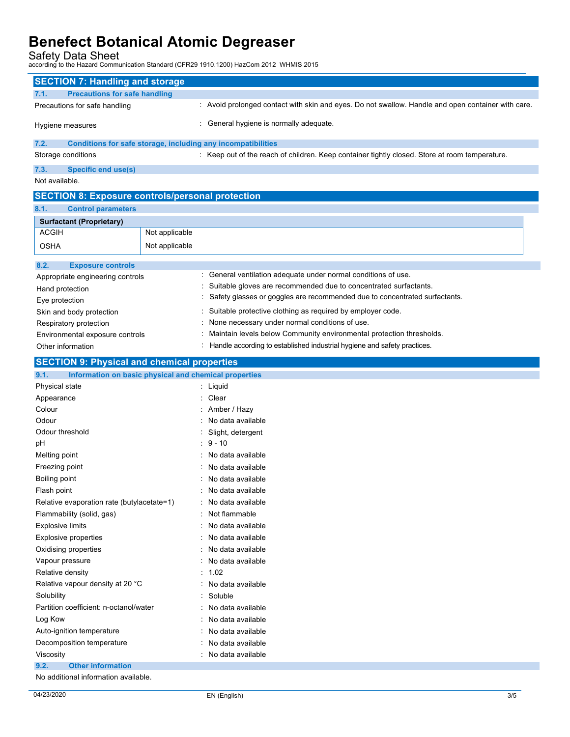Safety Data Sheet<br>according to the Hazard Communication Standard (CFR29 1910.1200) HazCom 2012 WHMIS 2015

| <b>SECTION 7: Handling and storage</b>                        |                |                                                                                                    |
|---------------------------------------------------------------|----------------|----------------------------------------------------------------------------------------------------|
| <b>Precautions for safe handling</b><br>7.1.                  |                |                                                                                                    |
| Precautions for safe handling                                 |                | : Avoid prolonged contact with skin and eyes. Do not swallow. Handle and open container with care. |
| Hygiene measures                                              |                | : General hygiene is normally adequate.                                                            |
| 7.2.                                                          |                | Conditions for safe storage, including any incompatibilities                                       |
| Storage conditions                                            |                | : Keep out of the reach of children. Keep container tightly closed. Store at room temperature.     |
| 7.3.<br><b>Specific end use(s)</b>                            |                |                                                                                                    |
| Not available.                                                |                |                                                                                                    |
| <b>SECTION 8: Exposure controls/personal protection</b>       |                |                                                                                                    |
| 8.1.<br><b>Control parameters</b>                             |                |                                                                                                    |
| <b>Surfactant (Proprietary)</b>                               |                |                                                                                                    |
| <b>ACGIH</b>                                                  | Not applicable |                                                                                                    |
| <b>OSHA</b>                                                   | Not applicable |                                                                                                    |
|                                                               |                |                                                                                                    |
| 8.2.<br><b>Exposure controls</b>                              |                | : General ventilation adequate under normal conditions of use.                                     |
| Appropriate engineering controls                              |                | : Suitable gloves are recommended due to concentrated surfactants.                                 |
| Hand protection                                               |                | Safety glasses or goggles are recommended due to concentrated surfactants.                         |
| Eye protection                                                |                |                                                                                                    |
| Skin and body protection                                      |                | : Suitable protective clothing as required by employer code.                                       |
| Respiratory protection                                        |                | None necessary under normal conditions of use.                                                     |
| Environmental exposure controls                               |                | Maintain levels below Community environmental protection thresholds.                               |
| Other information                                             |                | : Handle according to established industrial hygiene and safety practices.                         |
| <b>SECTION 9: Physical and chemical properties</b>            |                |                                                                                                    |
| 9.1.<br>Information on basic physical and chemical properties |                |                                                                                                    |
| Physical state                                                |                | : Liquid                                                                                           |
| Appearance<br>Colour                                          |                | Clear                                                                                              |
| Odour                                                         |                | : Amber / Hazy<br>No data available                                                                |
| Odour threshold                                               |                | Slight, detergent                                                                                  |
| pH                                                            |                | $: 9 - 10$                                                                                         |
| Melting point                                                 |                | : No data available                                                                                |
| Freezing point                                                |                | No data available                                                                                  |
| Boiling point                                                 |                | : No data available                                                                                |
| Flash point                                                   |                | No data available                                                                                  |
| Relative evaporation rate (butylacetate=1)                    |                | : No data available                                                                                |
| Flammability (solid, gas)                                     |                | Not flammable                                                                                      |
| <b>Explosive limits</b>                                       |                | No data available                                                                                  |
| <b>Explosive properties</b>                                   |                | No data available                                                                                  |
| Oxidising properties                                          |                | No data available                                                                                  |
| Vapour pressure                                               |                | No data available                                                                                  |
| Relative density                                              |                | : 1.02                                                                                             |
| Relative vapour density at 20 °C                              |                | No data available                                                                                  |
| Solubility                                                    |                | : Soluble                                                                                          |
| Partition coefficient: n-octanol/water                        |                | : No data available                                                                                |
| Log Kow                                                       |                | : No data available                                                                                |
| Auto-ignition temperature                                     |                | : No data available                                                                                |
| Decomposition temperature                                     |                | No data available                                                                                  |
| Viscosity                                                     |                | : No data available                                                                                |
| 9.2.<br><b>Other information</b>                              |                |                                                                                                    |
|                                                               |                |                                                                                                    |

No additional information available.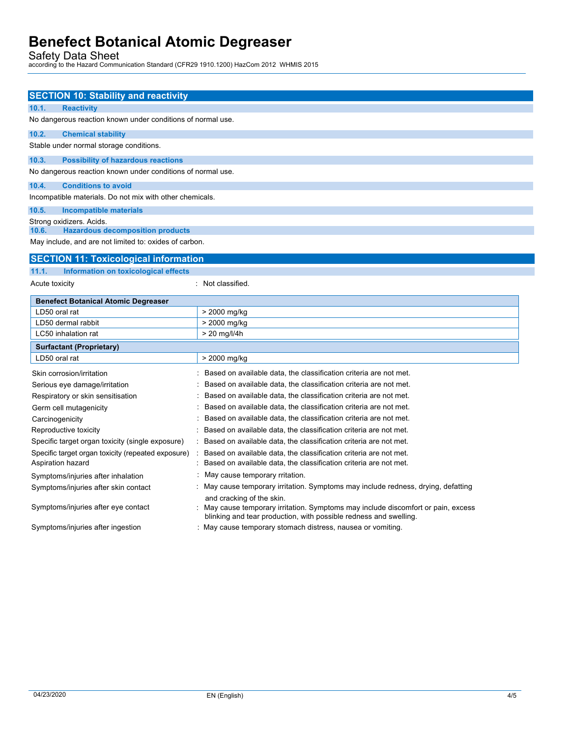Safety Data Sheet<br>according to the Hazard Communication Standard (CFR29 1910.1200) HazCom 2012 WHMIS 2015

| <b>SECTION 10: Stability and reactivity</b>                                                                |                                                                                                                                                      |
|------------------------------------------------------------------------------------------------------------|------------------------------------------------------------------------------------------------------------------------------------------------------|
| 10.1.<br><b>Reactivity</b>                                                                                 |                                                                                                                                                      |
| No dangerous reaction known under conditions of normal use.                                                |                                                                                                                                                      |
| 10.2.<br><b>Chemical stability</b>                                                                         |                                                                                                                                                      |
| Stable under normal storage conditions.                                                                    |                                                                                                                                                      |
| 10.3.<br><b>Possibility of hazardous reactions</b>                                                         |                                                                                                                                                      |
| No dangerous reaction known under conditions of normal use.                                                |                                                                                                                                                      |
| 10.4.<br><b>Conditions to avoid</b>                                                                        |                                                                                                                                                      |
| Incompatible materials. Do not mix with other chemicals.                                                   |                                                                                                                                                      |
| 10.5.<br><b>Incompatible materials</b>                                                                     |                                                                                                                                                      |
| Strong oxidizers. Acids.                                                                                   |                                                                                                                                                      |
| <b>Hazardous decomposition products</b><br>10.6.<br>May include, and are not limited to: oxides of carbon. |                                                                                                                                                      |
|                                                                                                            |                                                                                                                                                      |
| <b>SECTION 11: Toxicological information</b>                                                               |                                                                                                                                                      |
| 11.1.<br>Information on toxicological effects                                                              |                                                                                                                                                      |
| Acute toxicity                                                                                             | : Not classified.                                                                                                                                    |
| <b>Benefect Botanical Atomic Degreaser</b>                                                                 |                                                                                                                                                      |
| LD50 oral rat                                                                                              | > 2000 mg/kg                                                                                                                                         |
| LD50 dermal rabbit                                                                                         | > 2000 mg/kg                                                                                                                                         |
| LC50 inhalation rat                                                                                        | $> 20$ mg/l/4h                                                                                                                                       |
| <b>Surfactant (Proprietary)</b>                                                                            |                                                                                                                                                      |
| LD50 oral rat                                                                                              | > 2000 mg/kg                                                                                                                                         |
| Skin corrosion/irritation                                                                                  | Based on available data, the classification criteria are not met.                                                                                    |
| Serious eye damage/irritation                                                                              | Based on available data, the classification criteria are not met.                                                                                    |
| Respiratory or skin sensitisation                                                                          | Based on available data, the classification criteria are not met.                                                                                    |
| Germ cell mutagenicity                                                                                     | Based on available data, the classification criteria are not met.                                                                                    |
| Carcinogenicity                                                                                            | Based on available data, the classification criteria are not met.                                                                                    |
| Reproductive toxicity                                                                                      | Based on available data, the classification criteria are not met.                                                                                    |
| Specific target organ toxicity (single exposure)                                                           | Based on available data, the classification criteria are not met.<br>Based on available data, the classification criteria are not met.               |
| Specific target organ toxicity (repeated exposure)<br>÷<br>Aspiration hazard                               | Based on available data, the classification criteria are not met.                                                                                    |
| Symptoms/injuries after inhalation                                                                         | May cause temporary rritation.                                                                                                                       |
| Symptoms/injuries after skin contact                                                                       | May cause temporary irritation. Symptoms may include redness, drying, defatting                                                                      |
|                                                                                                            | and cracking of the skin.                                                                                                                            |
| Symptoms/injuries after eye contact                                                                        | May cause temporary irritation. Symptoms may include discomfort or pain, excess<br>blinking and tear production, with possible redness and swelling. |
| Symptoms/injuries after ingestion                                                                          | : May cause temporary stomach distress, nausea or vomiting.                                                                                          |